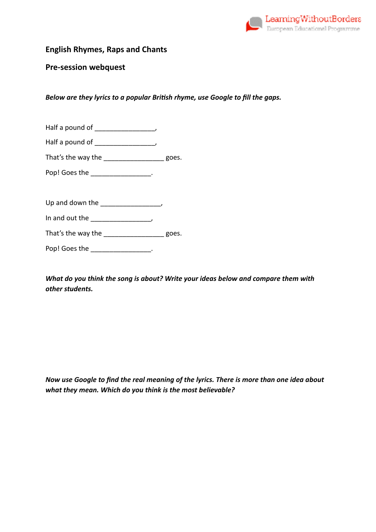

# **English Rhymes, Raps and Chants**

### **Pre-session webquest**

*Below are they lyrics to a popular British rhyme, use Google to fill the gaps.* 

| Half a pound of |  |
|-----------------|--|
| Half a pound of |  |

| That's the way the | goes. |
|--------------------|-------|

Pop! Goes the \_\_\_\_\_\_\_\_\_\_\_\_\_\_\_\_\_.

Up and down the \_\_\_\_\_\_\_\_\_\_\_\_\_\_,

In and out the the set of  $\overline{\phantom{a}}$ ,

That's the way the the state of the goes.

Pop! Goes the \_\_\_\_\_\_\_\_\_\_\_\_\_\_\_\_.

*What do you think the song is about? Write your ideas below and compare them with other students.* 

*Now use Google to find the real meaning of the lyrics. There is more than one idea about what they mean. Which do you think is the most believable?*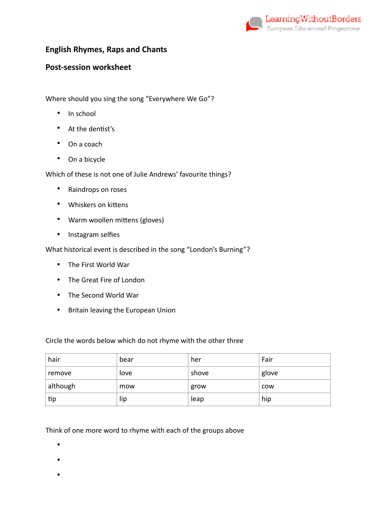

# **English Rhymes, Raps and Chants**

# **Post-session worksheet**

Where should you sing the song "Everywhere We Go"?

- In school
- At the dentist's
- On a coach
- On a bicycle

Which of these is not one of Julie Andrews' favourite things?

- Raindrops on roses
- Whiskers on kittens
- Warm woollen mittens (gloves)
- Instagram selfies

What historical event is described in the song "London's Burning"?

- The First World War
- The Great Fire of London
- The Second World War
- Britain leaving the European Union

Circle the words below which do not rhyme with the other three

| hair     | bear | her   | Fair       |
|----------|------|-------|------------|
| remove   | love | shove | glove      |
| although | mow  | grow  | <b>COW</b> |
| tip      | lip  | leap  | hip        |

Think of one more word to rhyme with each of the groups above

- •
- 
- •
- •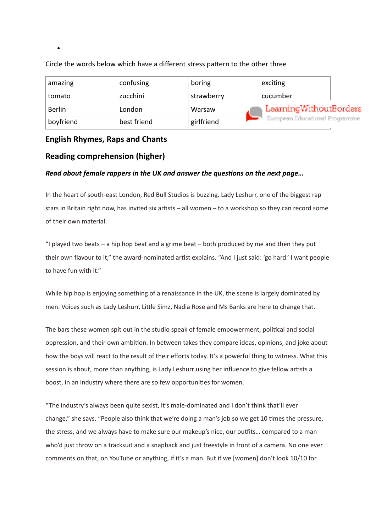| amazing       | confusing   | boring     | exciting                       |  |
|---------------|-------------|------------|--------------------------------|--|
| tomato        | zucchini    | strawberry | cucumber                       |  |
| <b>Berlin</b> | London      | Warsaw     | LearningWithoutBorders         |  |
| boyfriend     | best friend | girlfriend | European Educational Programme |  |

Circle the words below which have a different stress pattern to the other three

## **English Rhymes, Raps and Chants**

•

## **Reading comprehension (higher)**

### *Read about female rappers in the UK and answer the questions on the next page...*

In the heart of south-east London, Red Bull Studios is buzzing. Lady Leshurr, one of the biggest rap stars in Britain right now, has invited six artists  $-$  all women  $-$  to a workshop so they can record some of their own material.

"I played two beats  $-$  a hip hop beat and a grime beat  $-$  both produced by me and then they put their own flavour to it," the award-nominated artist explains. "And I just said: 'go hard.' I want people to have fun with it."

While hip hop is enjoying something of a renaissance in the UK, the scene is largely dominated by men. Voices such as Lady Leshurr, Little Simz, Nadia Rose and Ms Banks are here to change that.

The bars these women spit out in the studio speak of female empowerment, political and social oppression, and their own ambition. In between takes they compare ideas, opinions, and joke about how the boys will react to the result of their efforts today. It's a powerful thing to witness. What this session is about, more than anything, is Lady Leshurr using her influence to give fellow artists a boost, in an industry where there are so few opportunities for women.

"The industry's always been quite sexist, it's male-dominated and I don't think that'll ever change," she says. "People also think that we're doing a man's job so we get 10 times the pressure, the stress, and we always have to make sure our makeup's nice, our oufits… compared to a man who'd just throw on a tracksuit and a snapback and just freestyle in front of a camera. No one ever comments on that, on YouTube or anything, if it's a man. But if we [women] don't look 10/10 for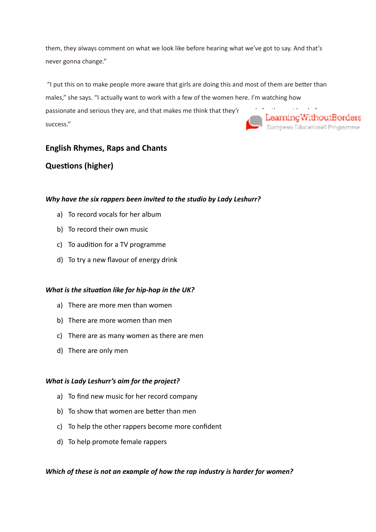them, they always comment on what we look like before hearing what we've got to say. And that's never gonna change."

"I put this on to make people more aware that girls are doing this and most of them are better than males," she says. "I actually want to work with a few of the women here. I'm watching how passionate and serious they are, and that makes me think that they'r<br>success."<br>European Educational Programme success."

## **English Rhymes, Raps and Chants**

# **Questions (higher)**

### *Why have the six rappers been invited to the studio by Lady Leshurr?*

- a) To record vocals for her album
- b) To record their own music
- $c)$  To audition for a TV programme
- d) To try a new flavour of energy drink

#### *What is the situation like for hip-hop in the UK?*

- a) There are more men than women
- b) There are more women than men
- c) There are as many women as there are men
- d) There are only men

#### *What is Lady Leshurr's aim for the project?*

- a) To find new music for her record company
- b) To show that women are better than men
- c) To help the other rappers become more confident
- d) To help promote female rappers

### *Which of these is not an example of how the rap industry is harder for women?*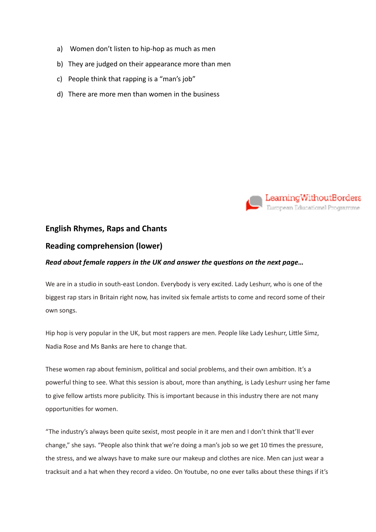- a) Women don't listen to hip-hop as much as men
- b) They are judged on their appearance more than men
- c) People think that rapping is a "man's job"
- d) There are more men than women in the business



## **English Rhymes, Raps and Chants**

### **Reading comprehension (lower)**

#### *Read about female rappers in the UK and answer the questions on the next page...*

We are in a studio in south-east London. Everybody is very excited. Lady Leshurr, who is one of the biggest rap stars in Britain right now, has invited six female artists to come and record some of their own songs.

Hip hop is very popular in the UK, but most rappers are men. People like Lady Leshurr, Little Simz, Nadia Rose and Ms Banks are here to change that.

These women rap about feminism, political and social problems, and their own ambition. It's a powerful thing to see. What this session is about, more than anything, is Lady Leshurr using her fame to give fellow artists more publicity. This is important because in this industry there are not many opportunities for women.

"The industry's always been quite sexist, most people in it are men and I don't think that'll ever change," she says. "People also think that we're doing a man's job so we get 10 times the pressure, the stress, and we always have to make sure our makeup and clothes are nice. Men can just wear a tracksuit and a hat when they record a video. On Youtube, no one ever talks about these things if it's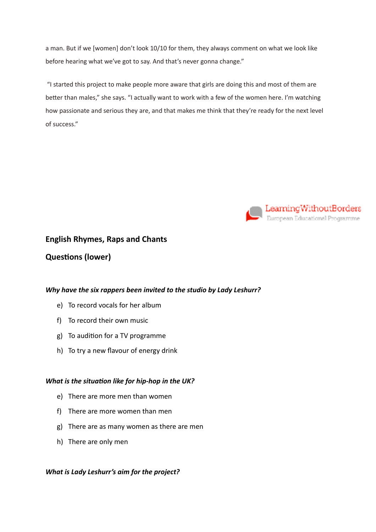a man. But if we [women] don't look 10/10 for them, they always comment on what we look like before hearing what we've got to say. And that's never gonna change."

 "I started this project to make people more aware that girls are doing this and most of them are better than males," she says. "I actually want to work with a few of the women here. I'm watching how passionate and serious they are, and that makes me think that they're ready for the next level of success."



## **English Rhymes, Raps and Chants**

# **Questions (lower)**

### *Why have the six rappers been invited to the studio by Lady Leshurr?*

- e) To record vocals for her album
- f) To record their own music
- g) To audition for a TV programme
- h) To try a new flavour of energy drink

#### *What is the situation like for hip-hop in the UK?*

- e) There are more men than women
- f) There are more women than men
- g) There are as many women as there are men
- h) There are only men

### *What is Lady Leshurr's aim for the project?*